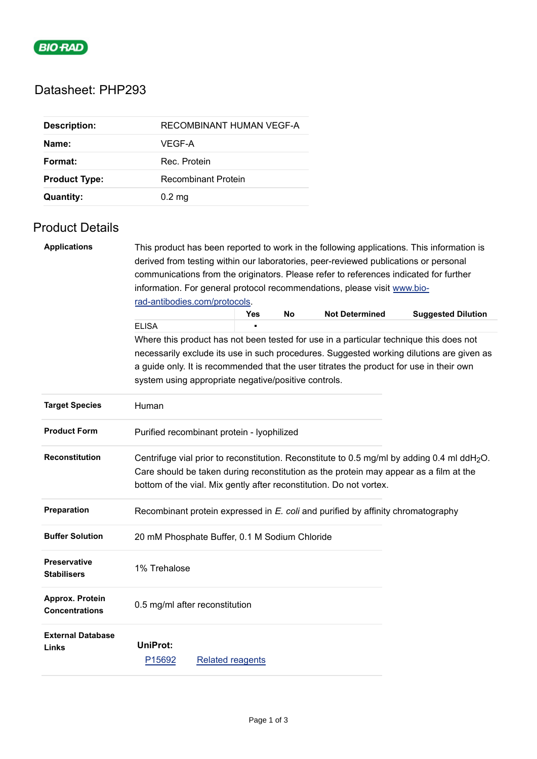

# Datasheet: PHP293

| <b>Description:</b>  | RECOMBINANT HUMAN VEGF-A   |
|----------------------|----------------------------|
| Name:                | VEGF-A                     |
| Format:              | Rec. Protein               |
| <b>Product Type:</b> | <b>Recombinant Protein</b> |
| <b>Quantity:</b>     | $0.2 \text{ mg}$           |

## Product Details

| <b>Applications</b>                       | This product has been reported to work in the following applications. This information is                                                                                                                                                   |                                                                          |     |           |                                                                     |                           |  |  |
|-------------------------------------------|---------------------------------------------------------------------------------------------------------------------------------------------------------------------------------------------------------------------------------------------|--------------------------------------------------------------------------|-----|-----------|---------------------------------------------------------------------|---------------------------|--|--|
|                                           | derived from testing within our laboratories, peer-reviewed publications or personal<br>communications from the originators. Please refer to references indicated for further                                                               |                                                                          |     |           |                                                                     |                           |  |  |
|                                           |                                                                                                                                                                                                                                             |                                                                          |     |           |                                                                     |                           |  |  |
|                                           |                                                                                                                                                                                                                                             | information. For general protocol recommendations, please visit www.bio- |     |           |                                                                     |                           |  |  |
|                                           | rad-antibodies.com/protocols.                                                                                                                                                                                                               |                                                                          |     |           |                                                                     |                           |  |  |
|                                           |                                                                                                                                                                                                                                             |                                                                          | Yes | <b>No</b> | <b>Not Determined</b>                                               | <b>Suggested Dilution</b> |  |  |
|                                           | <b>ELISA</b>                                                                                                                                                                                                                                |                                                                          |     |           |                                                                     |                           |  |  |
|                                           | Where this product has not been tested for use in a particular technique this does not                                                                                                                                                      |                                                                          |     |           |                                                                     |                           |  |  |
|                                           | necessarily exclude its use in such procedures. Suggested working dilutions are given as<br>a guide only. It is recommended that the user titrates the product for use in their own<br>system using appropriate negative/positive controls. |                                                                          |     |           |                                                                     |                           |  |  |
|                                           |                                                                                                                                                                                                                                             |                                                                          |     |           |                                                                     |                           |  |  |
|                                           |                                                                                                                                                                                                                                             |                                                                          |     |           |                                                                     |                           |  |  |
| <b>Target Species</b>                     | Human                                                                                                                                                                                                                                       |                                                                          |     |           |                                                                     |                           |  |  |
| <b>Product Form</b>                       | Purified recombinant protein - lyophilized                                                                                                                                                                                                  |                                                                          |     |           |                                                                     |                           |  |  |
| <b>Reconstitution</b>                     | Centrifuge vial prior to reconstitution. Reconstitute to 0.5 mg/ml by adding 0.4 ml ddH <sub>2</sub> O.<br>Care should be taken during reconstitution as the protein may appear as a film at the                                            |                                                                          |     |           |                                                                     |                           |  |  |
|                                           |                                                                                                                                                                                                                                             |                                                                          |     |           |                                                                     |                           |  |  |
|                                           |                                                                                                                                                                                                                                             |                                                                          |     |           | bottom of the vial. Mix gently after reconstitution. Do not vortex. |                           |  |  |
| Preparation                               | Recombinant protein expressed in E. coli and purified by affinity chromatography                                                                                                                                                            |                                                                          |     |           |                                                                     |                           |  |  |
| <b>Buffer Solution</b>                    | 20 mM Phosphate Buffer, 0.1 M Sodium Chloride                                                                                                                                                                                               |                                                                          |     |           |                                                                     |                           |  |  |
| <b>Preservative</b><br><b>Stabilisers</b> | 1% Trehalose                                                                                                                                                                                                                                |                                                                          |     |           |                                                                     |                           |  |  |
| Approx. Protein<br><b>Concentrations</b>  | 0.5 mg/ml after reconstitution                                                                                                                                                                                                              |                                                                          |     |           |                                                                     |                           |  |  |
| <b>External Database</b>                  |                                                                                                                                                                                                                                             |                                                                          |     |           |                                                                     |                           |  |  |
| Links                                     | <b>UniProt:</b>                                                                                                                                                                                                                             |                                                                          |     |           |                                                                     |                           |  |  |
|                                           | P15692                                                                                                                                                                                                                                      | <b>Related reagents</b>                                                  |     |           |                                                                     |                           |  |  |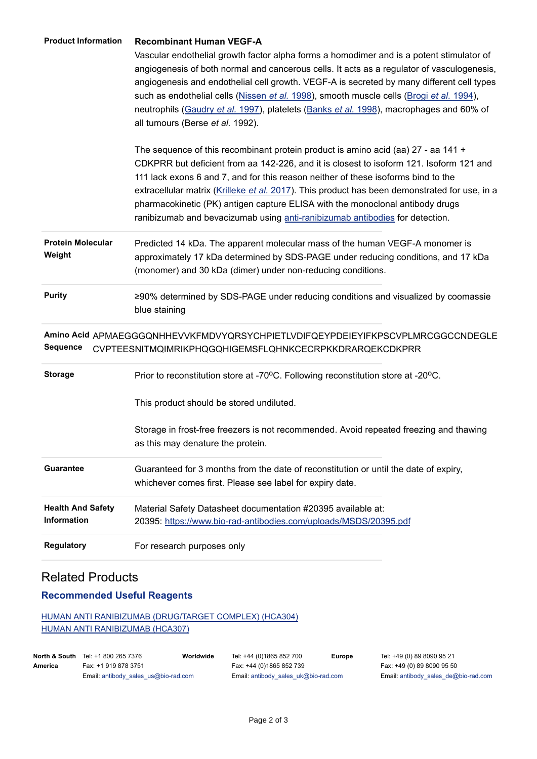| <b>Product Information</b>                     | <b>Recombinant Human VEGF-A</b><br>Vascular endothelial growth factor alpha forms a homodimer and is a potent stimulator of<br>angiogenesis of both normal and cancerous cells. It acts as a regulator of vasculogenesis,<br>angiogenesis and endothelial cell growth. VEGF-A is secreted by many different cell types<br>such as endothelial cells (Nissen et al. 1998), smooth muscle cells (Brogi et al. 1994),<br>neutrophils (Gaudry et al. 1997), platelets (Banks et al. 1998), macrophages and 60% of<br>all tumours (Berse et al. 1992). |  |  |  |  |
|------------------------------------------------|---------------------------------------------------------------------------------------------------------------------------------------------------------------------------------------------------------------------------------------------------------------------------------------------------------------------------------------------------------------------------------------------------------------------------------------------------------------------------------------------------------------------------------------------------|--|--|--|--|
|                                                | The sequence of this recombinant protein product is amino acid (aa) $27$ - aa $141 +$<br>CDKPRR but deficient from aa 142-226, and it is closest to isoform 121. Isoform 121 and<br>111 lack exons 6 and 7, and for this reason neither of these isoforms bind to the<br>extracellular matrix (Krilleke et al. 2017). This product has been demonstrated for use, in a<br>pharmacokinetic (PK) antigen capture ELISA with the monoclonal antibody drugs<br>ranibizumab and bevacizumab using anti-ranibizumab antibodies for detection.           |  |  |  |  |
| <b>Protein Molecular</b><br>Weight             | Predicted 14 kDa. The apparent molecular mass of the human VEGF-A monomer is<br>approximately 17 kDa determined by SDS-PAGE under reducing conditions, and 17 kDa<br>(monomer) and 30 kDa (dimer) under non-reducing conditions.                                                                                                                                                                                                                                                                                                                  |  |  |  |  |
| <b>Purity</b>                                  | ≥90% determined by SDS-PAGE under reducing conditions and visualized by coomassie<br>blue staining                                                                                                                                                                                                                                                                                                                                                                                                                                                |  |  |  |  |
| <b>Sequence</b>                                | Amino Acid APMAEGGGQNHHEVVKFMDVYQRSYCHPIETLVDIFQEYPDEIEYIFKPSCVPLMRCGGCCNDEGLE<br>CVPTEESNITMQIMRIKPHQGQHIGEMSFLQHNKCECRPKKDRARQEKCDKPRR                                                                                                                                                                                                                                                                                                                                                                                                          |  |  |  |  |
| <b>Storage</b>                                 | Prior to reconstitution store at -70°C. Following reconstitution store at -20°C.<br>This product should be stored undiluted.<br>Storage in frost-free freezers is not recommended. Avoid repeated freezing and thawing<br>as this may denature the protein.                                                                                                                                                                                                                                                                                       |  |  |  |  |
| <b>Guarantee</b>                               | Guaranteed for 3 months from the date of reconstitution or until the date of expiry,<br>whichever comes first. Please see label for expiry date.                                                                                                                                                                                                                                                                                                                                                                                                  |  |  |  |  |
| <b>Health And Safety</b><br><b>Information</b> | Material Safety Datasheet documentation #20395 available at:<br>20395: https://www.bio-rad-antibodies.com/uploads/MSDS/20395.pdf                                                                                                                                                                                                                                                                                                                                                                                                                  |  |  |  |  |
| <b>Regulatory</b>                              | For research purposes only                                                                                                                                                                                                                                                                                                                                                                                                                                                                                                                        |  |  |  |  |

### Related Products

#### **Recommended Useful Reagents**

[HUMAN ANTI RANIBIZUMAB \(DRUG/TARGET COMPLEX\) \(HCA304\)](https://www.bio-rad-antibodies.com/monoclonal/ranibizumab-antibody-abd29928-hca304.html) [HUMAN ANTI RANIBIZUMAB \(HCA307\)](https://www.bio-rad-antibodies.com/monoclonal/ranibizumab-antibody-abd29865-hca307.html)

|         | <b>North &amp; South</b> Tel: +1 800 265 7376 | Worldwide | Tel: +44 (0)1865 852 700             | <b>Europe</b> | Tel: +49 (0) 89 8090 95 21           |
|---------|-----------------------------------------------|-----------|--------------------------------------|---------------|--------------------------------------|
| America | Fax: +1 919 878 3751                          |           | Fax: +44 (0)1865 852 739             |               | Fax: +49 (0) 89 8090 95 50           |
|         | Email: antibody sales us@bio-rad.com          |           | Email: antibody sales uk@bio-rad.com |               | Email: antibody sales de@bio-rad.com |